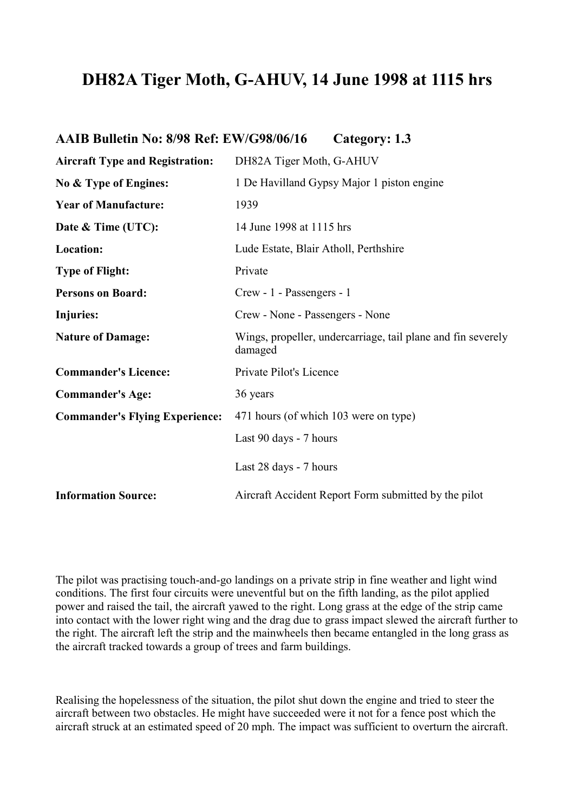## **DH82A Tiger Moth, G-AHUV, 14 June 1998 at 1115 hrs**

| AAIB Bulletin No: 8/98 Ref: EW/G98/06/16 |                                                      | Category: 1.3                                                |
|------------------------------------------|------------------------------------------------------|--------------------------------------------------------------|
| <b>Aircraft Type and Registration:</b>   | DH82A Tiger Moth, G-AHUV                             |                                                              |
| No & Type of Engines:                    | 1 De Havilland Gypsy Major 1 piston engine           |                                                              |
| <b>Year of Manufacture:</b>              | 1939                                                 |                                                              |
| Date & Time (UTC):                       | 14 June 1998 at 1115 hrs                             |                                                              |
| Location:                                | Lude Estate, Blair Atholl, Perthshire                |                                                              |
| <b>Type of Flight:</b>                   | Private                                              |                                                              |
| <b>Persons on Board:</b>                 | Crew - 1 - Passengers - 1                            |                                                              |
| Injuries:                                | Crew - None - Passengers - None                      |                                                              |
| <b>Nature of Damage:</b>                 | damaged                                              | Wings, propeller, undercarriage, tail plane and fin severely |
| <b>Commander's Licence:</b>              | Private Pilot's Licence                              |                                                              |
| <b>Commander's Age:</b>                  | 36 years                                             |                                                              |
| <b>Commander's Flying Experience:</b>    | 471 hours (of which 103 were on type)                |                                                              |
|                                          | Last 90 days - 7 hours                               |                                                              |
|                                          | Last 28 days - 7 hours                               |                                                              |
| <b>Information Source:</b>               | Aircraft Accident Report Form submitted by the pilot |                                                              |

The pilot was practising touch-and-go landings on a private strip in fine weather and light wind conditions. The first four circuits were uneventful but on the fifth landing, as the pilot applied power and raised the tail, the aircraft yawed to the right. Long grass at the edge of the strip came into contact with the lower right wing and the drag due to grass impact slewed the aircraft further to the right. The aircraft left the strip and the mainwheels then became entangled in the long grass as the aircraft tracked towards a group of trees and farm buildings.

Realising the hopelessness of the situation, the pilot shut down the engine and tried to steer the aircraft between two obstacles. He might have succeeded were it not for a fence post which the aircraft struck at an estimated speed of 20 mph. The impact was sufficient to overturn the aircraft.